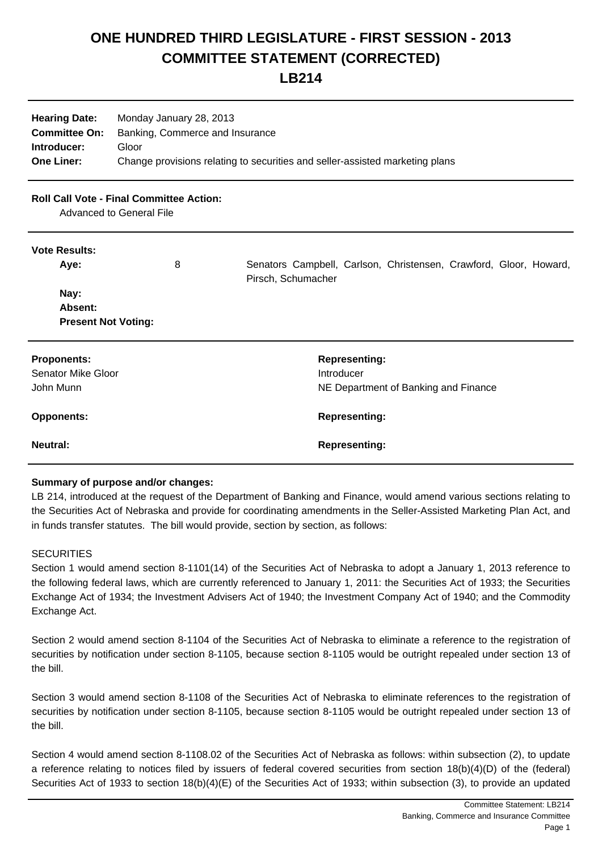# **ONE HUNDRED THIRD LEGISLATURE - FIRST SESSION - 2013 COMMITTEE STATEMENT (CORRECTED)**

# **LB214**

| <b>Hearing Date:</b><br><b>Committee On:</b> | Monday January 28, 2013<br>Banking, Commerce and Insurance                   |
|----------------------------------------------|------------------------------------------------------------------------------|
| Introducer:                                  | Gloor                                                                        |
| <b>One Liner:</b>                            | Change provisions relating to securities and seller-assisted marketing plans |

# **Roll Call Vote - Final Committee Action:**

Advanced to General File

#### **Vote Results:**

| Aye:                                          | 8 | Senators Campbell, Carlson, Christensen, Crawford, Gloor, Howard,<br>Pirsch, Schumacher |
|-----------------------------------------------|---|-----------------------------------------------------------------------------------------|
| Nay:<br>Absent:<br><b>Present Not Voting:</b> |   |                                                                                         |
| <b>Proponents:</b>                            |   | <b>Representing:</b>                                                                    |
| <b>Senator Mike Gloor</b>                     |   | Introducer                                                                              |
| John Munn                                     |   | NE Department of Banking and Finance                                                    |
| <b>Opponents:</b>                             |   | <b>Representing:</b>                                                                    |
| <b>Neutral:</b>                               |   | <b>Representing:</b>                                                                    |

#### **Summary of purpose and/or changes:**

LB 214, introduced at the request of the Department of Banking and Finance, would amend various sections relating to the Securities Act of Nebraska and provide for coordinating amendments in the Seller-Assisted Marketing Plan Act, and in funds transfer statutes. The bill would provide, section by section, as follows:

#### **SECURITIES**

Section 1 would amend section 8-1101(14) of the Securities Act of Nebraska to adopt a January 1, 2013 reference to the following federal laws, which are currently referenced to January 1, 2011: the Securities Act of 1933; the Securities Exchange Act of 1934; the Investment Advisers Act of 1940; the Investment Company Act of 1940; and the Commodity Exchange Act.

Section 2 would amend section 8-1104 of the Securities Act of Nebraska to eliminate a reference to the registration of securities by notification under section 8-1105, because section 8-1105 would be outright repealed under section 13 of the bill.

Section 3 would amend section 8-1108 of the Securities Act of Nebraska to eliminate references to the registration of securities by notification under section 8-1105, because section 8-1105 would be outright repealed under section 13 of the bill.

Section 4 would amend section 8-1108.02 of the Securities Act of Nebraska as follows: within subsection (2), to update a reference relating to notices filed by issuers of federal covered securities from section 18(b)(4)(D) of the (federal) Securities Act of 1933 to section 18(b)(4)(E) of the Securities Act of 1933; within subsection (3), to provide an updated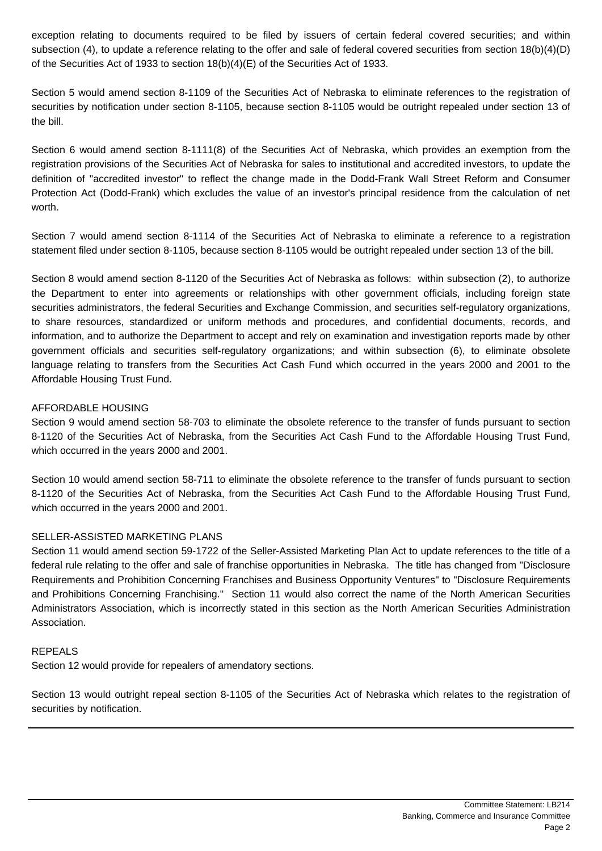exception relating to documents required to be filed by issuers of certain federal covered securities; and within subsection (4), to update a reference relating to the offer and sale of federal covered securities from section 18(b)(4)(D) of the Securities Act of 1933 to section 18(b)(4)(E) of the Securities Act of 1933.

Section 5 would amend section 8-1109 of the Securities Act of Nebraska to eliminate references to the registration of securities by notification under section 8-1105, because section 8-1105 would be outright repealed under section 13 of the bill.

Section 6 would amend section 8-1111(8) of the Securities Act of Nebraska, which provides an exemption from the registration provisions of the Securities Act of Nebraska for sales to institutional and accredited investors, to update the definition of "accredited investor" to reflect the change made in the Dodd-Frank Wall Street Reform and Consumer Protection Act (Dodd-Frank) which excludes the value of an investor's principal residence from the calculation of net worth

Section 7 would amend section 8-1114 of the Securities Act of Nebraska to eliminate a reference to a registration statement filed under section 8-1105, because section 8-1105 would be outright repealed under section 13 of the bill.

Section 8 would amend section 8-1120 of the Securities Act of Nebraska as follows: within subsection (2), to authorize the Department to enter into agreements or relationships with other government officials, including foreign state securities administrators, the federal Securities and Exchange Commission, and securities self-regulatory organizations, to share resources, standardized or uniform methods and procedures, and confidential documents, records, and information, and to authorize the Department to accept and rely on examination and investigation reports made by other government officials and securities self-regulatory organizations; and within subsection (6), to eliminate obsolete language relating to transfers from the Securities Act Cash Fund which occurred in the years 2000 and 2001 to the Affordable Housing Trust Fund.

## AFFORDABLE HOUSING

Section 9 would amend section 58-703 to eliminate the obsolete reference to the transfer of funds pursuant to section 8-1120 of the Securities Act of Nebraska, from the Securities Act Cash Fund to the Affordable Housing Trust Fund, which occurred in the years 2000 and 2001.

Section 10 would amend section 58-711 to eliminate the obsolete reference to the transfer of funds pursuant to section 8-1120 of the Securities Act of Nebraska, from the Securities Act Cash Fund to the Affordable Housing Trust Fund, which occurred in the years 2000 and 2001.

#### SELLER-ASSISTED MARKETING PLANS

Section 11 would amend section 59-1722 of the Seller-Assisted Marketing Plan Act to update references to the title of a federal rule relating to the offer and sale of franchise opportunities in Nebraska. The title has changed from "Disclosure Requirements and Prohibition Concerning Franchises and Business Opportunity Ventures" to "Disclosure Requirements and Prohibitions Concerning Franchising." Section 11 would also correct the name of the North American Securities Administrators Association, which is incorrectly stated in this section as the North American Securities Administration Association.

## REPEALS

Section 12 would provide for repealers of amendatory sections.

Section 13 would outright repeal section 8-1105 of the Securities Act of Nebraska which relates to the registration of securities by notification.